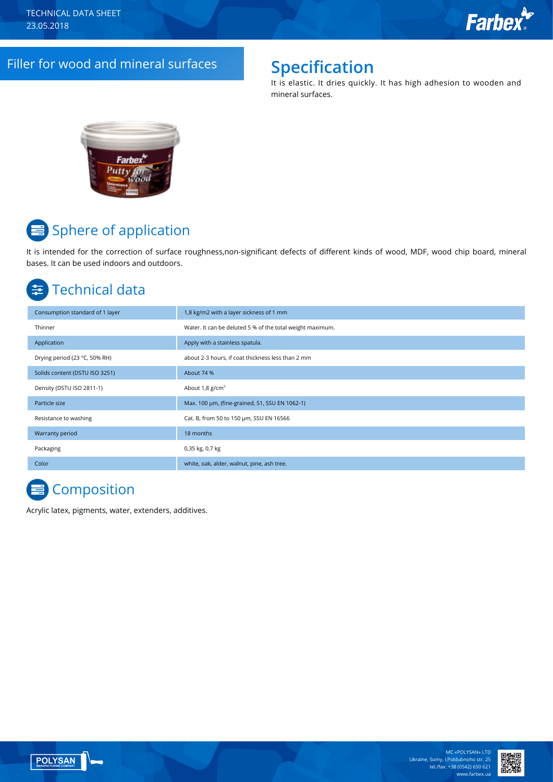# Filler for wood and mineral surfaces **Specification**

It is elastic. It dries quickly. It has high adhesion to wooden and mineral surfaces.



# **■** Sphere of application

It is intended for the correction of surface roughness,non-significant defects of different kinds of wood, MDF, wood chip board, mineral bases. It can be used indoors and outdoors.

# Technical data

| Consumption standard of 1 layer | 1,8 kg/m2 with a layer sickness of 1 mm                   |
|---------------------------------|-----------------------------------------------------------|
| Thinner                         | Water. It can be deluted 5 % of the total weight maximum. |
| Application                     | Apply with a stainless spatula.                           |
| Drying period (23 °C, 50% RH)   | about 2-3 hours, if coat thickness less than 2 mm         |
| Solids content (DSTU ISO 3251)  | About 74 %                                                |
| Density (DSTU ISO 2811-1)       | About $1,8$ g/cm <sup>3</sup>                             |
| Particle size                   | Max. 100 um, (fine-grained, S1, SSU EN 1062-1)            |
| Resistance to washing           | Cat. B, from 50 to 150 µm, SSU EN 16566                   |
| Warranty period                 | 18 months                                                 |
| Packaging                       | 0,35 kg, 0,7 kg                                           |
| Color                           | white, oak, alder, walnut, pine, ash tree.                |

# **Composition**

Acrylic latex, pigments, water, extenders, additives.